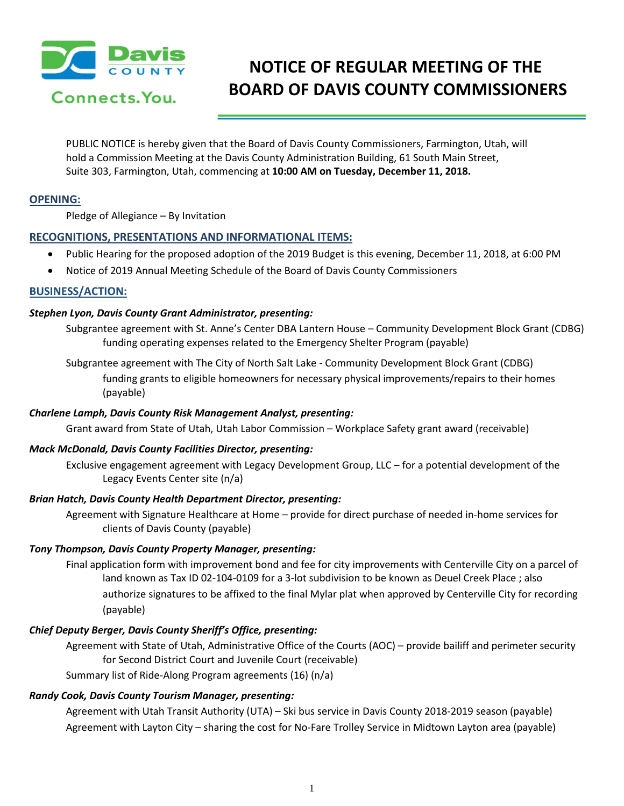

# **NOTICE OF REGULAR MEETING OF THE BOARD OF DAVIS COUNTY COMMISSIONERS**

PUBLIC NOTICE is hereby given that the Board of Davis County Commissioners, Farmington, Utah, will hold a Commission Meeting at the Davis County Administration Building, 61 South Main Street, Suite 303, Farmington, Utah, commencing at **10:00 AM on Tuesday, December 11, 2018.**

### **OPENING:**

Pledge of Allegiance – By Invitation

# **RECOGNITIONS, PRESENTATIONS AND INFORMATIONAL ITEMS:**

- Public Hearing for the proposed adoption of the 2019 Budget is this evening, December 11, 2018, at 6:00 PM
- Notice of 2019 Annual Meeting Schedule of the Board of Davis County Commissioners

# **BUSINESS/ACTION:**

#### *Stephen Lyon, Davis County Grant Administrator, presenting:*

Subgrantee agreement with St. Anne's Center DBA Lantern House – Community Development Block Grant (CDBG) funding operating expenses related to the Emergency Shelter Program (payable)

Subgrantee agreement with The City of North Salt Lake - Community Development Block Grant (CDBG)

funding grants to eligible homeowners for necessary physical improvements/repairs to their homes (payable)

# *Charlene Lamph, Davis County Risk Management Analyst, presenting:*

Grant award from State of Utah, Utah Labor Commission – Workplace Safety grant award (receivable)

#### *Mack McDonald, Davis County Facilities Director, presenting:*

Exclusive engagement agreement with Legacy Development Group, LLC – for a potential development of the Legacy Events Center site (n/a)

# *Brian Hatch, Davis County Health Department Director, presenting:*

Agreement with Signature Healthcare at Home – provide for direct purchase of needed in-home services for clients of Davis County (payable)

#### *Tony Thompson, Davis County Property Manager, presenting:*

Final application form with improvement bond and fee for city improvements with Centerville City on a parcel of land known as Tax ID 02-104-0109 for a 3-lot subdivision to be known as Deuel Creek Place ; also authorize signatures to be affixed to the final Mylar plat when approved by Centerville City for recording (payable)

# *Chief Deputy Berger, Davis County Sheriff's Office, presenting:*

Agreement with State of Utah, Administrative Office of the Courts (AOC) – provide bailiff and perimeter security for Second District Court and Juvenile Court (receivable)

Summary list of Ride-Along Program agreements (16) (n/a)

# *Randy Cook, Davis County Tourism Manager, presenting:*

Agreement with Utah Transit Authority (UTA) – Ski bus service in Davis County 2018-2019 season (payable) Agreement with Layton City – sharing the cost for No-Fare Trolley Service in Midtown Layton area (payable)